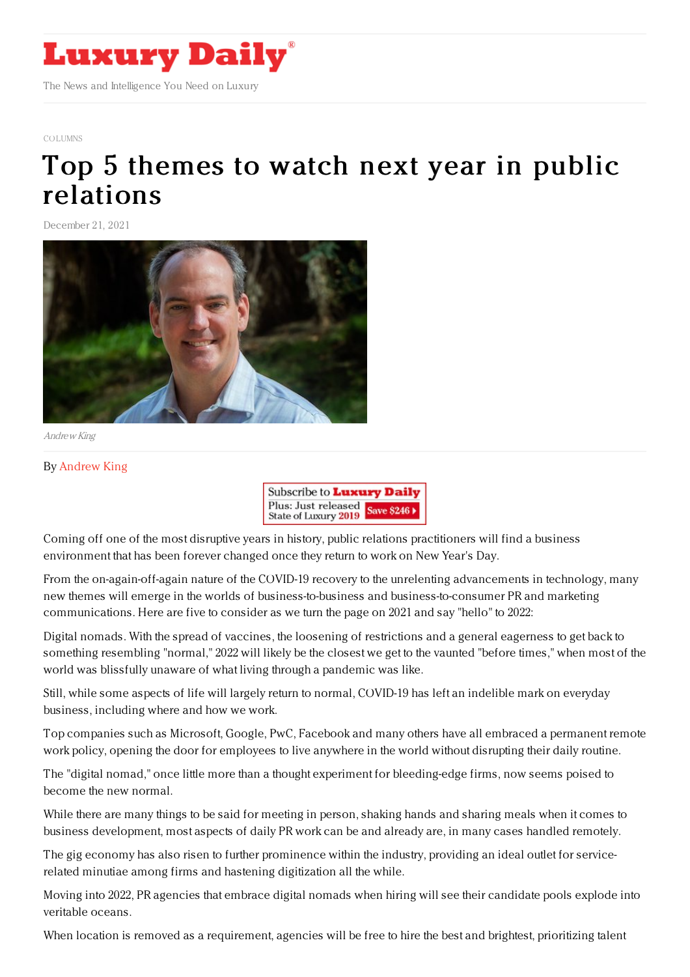

## [COLUMNS](https://www.luxurydaily.com/category/opinion/columns/)

## Top 5 themes to watch next year in public [relations](https://www.luxurydaily.com/top-5-themes-to-watch-next-year-in-public-relations/)

December 21, 2021



Andrew King

## By [Andrew](http://www.bastionelevate.com) King



Coming off one of the most disruptive years in history, public relations practitioners will find a business environment that has been forever changed once they return to work on New Year's Day.

From the on-again-off-again nature of the COVID-19 recovery to the unrelenting advancements in technology, many new themes will emerge in the worlds of business-to-business and business-to-consumer PR and marketing communications. Here are five to consider as we turn the page on 2021 and say "hello" to 2022:

Digital nomads. With the spread of vaccines, the loosening of restrictions and a general eagerness to get back to something resembling "normal," 2022 will likely be the closest we get to the vaunted "before times," when most of the world was blissfully unaware of what living through a pandemic was like.

Still, while some aspects of life will largely return to normal, COVID-19 has left an indelible mark on everyday business, including where and how we work.

Top companies such as Microsoft, Google, PwC, Facebook and many others have all embraced a permanent remote work policy, opening the door for employees to live anywhere in the world without disrupting their daily routine.

The "digital nomad," once little more than a thought experiment for bleeding-edge firms, now seems poised to become the new normal.

While there are many things to be said for meeting in person, shaking hands and sharing meals when it comes to business development, most aspects of daily PR work can be and already are, in many cases handled remotely.

The gig economy has also risen to further prominence within the industry, providing an ideal outlet for servicerelated minutiae among firms and hastening digitization all the while.

Moving into 2022, PR agencies that embrace digital nomads when hiring will see their candidate pools explode into veritable oceans.

When location is removed as a requirement, agencies will be free to hire the best and brightest, prioritizing talent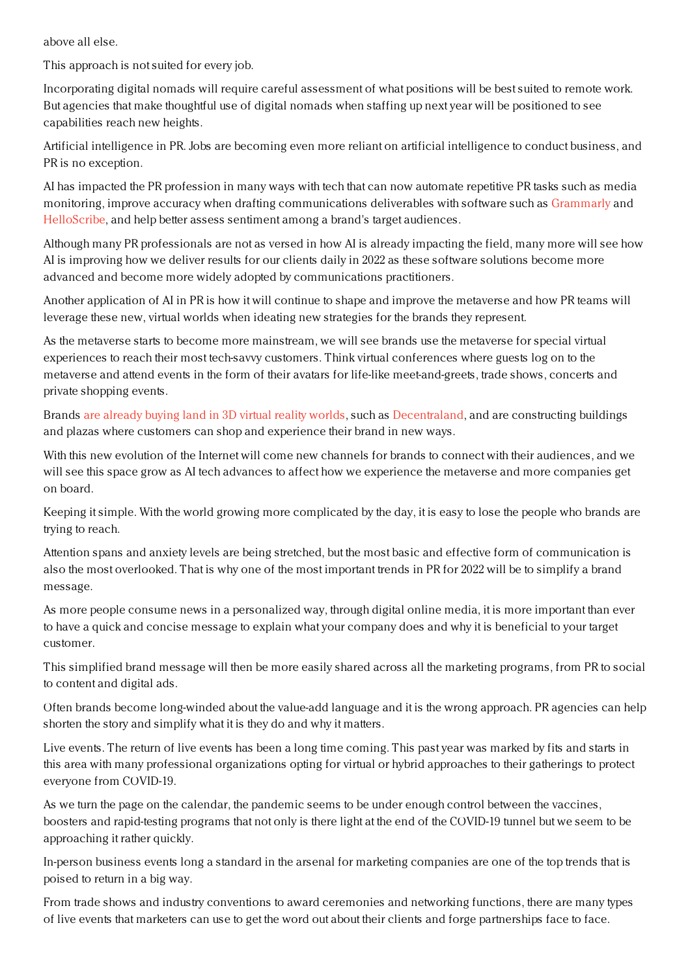above all else.

This approach is not suited for every job.

Incorporating digital nomads will require careful assessment of what positions will be best suited to remote work. But agencies that make thoughtful use of digital nomads when staffing up next year will be positioned to see capabilities reach new heights.

Artificial intelligence in PR. Jobs are becoming even more reliant on artificial intelligence to conduct business, and PR is no exception.

AI has impacted the PR profession in many ways with tech that can now automate repetitive PR tasks such as media monitoring, improve accuracy when drafting communications deliverables with software such as [Grammarly](https://u7061146.ct.sendgrid.net/ls/click?upn=4tNED-2FM8iDZJQyQ53jATUa2Nc8PxsGrG2E-2FtJHwWf1aUey6ppOuvFLTozERxfBdP7yl56QPBDu-2FYx-2F46IuUkBG8Or4x4fVcdoKai26GRl-2FV0axRB5ratOcrCkisrnTmrpCIiDG4n4A9AlC0Tj-2BizFLG8cXlEEe3LLiyk0Erudf35xIVOisnBkoXRgs21oUNfmHZAou9Mr1IWb73bESAzcu-2Fb693KLPp3KbfmXEZmut0-3DVAfC_XmBQLvENj-2FyyglXJWwLXZwq9maoJ-2Fi5bhMLlCQuJ6tJtwDrECfIg3ADMSxRlA7t491yS4QulaL10hKkAlhFa53G08Vq2W-2BFHqdiZatlJJZrFoIkk33t19N9hH9SqmGnupwyavjBPXdMT9292HPl2fRTzXeeGEp0O97A9XkFhv2fAat1l0SPn2xzcKWTuM8cppbmHBzm3oZsT9lKUkZBrirAs9l498ffDS5OmpQKo5SZMHP6Q3A3V9rqt1vtnttdcKed7ZoipdP-2FMAKkZR4HNKE8rWEAGR27BVFfwTf9ucWz0Q4Ja1kshqUdaBFRA6qmaDeARVLhXugGhYu-2FkQkscrQ-3D-3D) and [HelloScribe,](https://u7061146.ct.sendgrid.net/ls/click?upn=4tNED-2FM8iDZJQyQ53jATUXnMKSuJsPrKycLyH-2BfmnS2ngg4XtyIYQfeKdS8J2YPIs3OI_XmBQLvENj-2FyyglXJWwLXZwq9maoJ-2Fi5bhMLlCQuJ6tJtwDrECfIg3ADMSxRlA7t491yS4QulaL10hKkAlhFa53G08Vq2W-2BFHqdiZatlJJZrFoIkk33t19N9hH9SqmGnupwyavjBPXdMT9292HPl2fRTzXeeGEp0O97A9XkFhv2fAat1l0SPn2xzcKWTuM8cppD1zlMmJgulrwZ1VuOhrb3UFMggmg5He0E8waRr6DFVCetP1LvQBSODu8si406M1EmvQnyomPvz7EPuOpxk0M3Johzj2JoxzZgEiplcSPLjAIdb2oTvC8H6wwkIimxVSl61qmOkYFRNdUKHmYo6F2w-3D-3D) and help better assess sentiment among a brand's target audiences.

Although many PR professionals are not as versed in how AI is already impacting the field, many more will see how AI is improving how we deliver results for our clients daily in 2022 as these software solutions become more advanced and become more widely adopted by communications practitioners.

Another application of AI in PR is how it will continue to shape and improve the metaverse and how PR teams will leverage these new, virtual worlds when ideating new strategies for the brands they represent.

As the metaverse starts to become more mainstream, we will see brands use the metaverse for special virtual experiences to reach their most tech-savvy customers. Think virtual conferences where guests log on to the metaverse and attend events in the form of their avatars for life-like meet-and-greets, trade shows, concerts and private shopping events.

Brands are [already](https://u7061146.ct.sendgrid.net/ls/click?upn=4tNED-2FM8iDZJQyQ53jATUWs5m3Pq5mLFSzk53bTFVFL5N-2FQq-2BEnKyaWbjmS6yMb6IBKiq4W-2FKpGKgO22M5FEyisfjWdyIbYqfltJzMFBrWf3KtacPkoLq-2FCee1eTA7SR05sGmXA2sKiG1g89G26iB-2FsigwKxWX7rUkaEO-2BXTLttjB3eVwHJ-2BZ-2FJQFRiPdJdXSnfl_XmBQLvENj-2FyyglXJWwLXZwq9maoJ-2Fi5bhMLlCQuJ6tJtwDrECfIg3ADMSxRlA7t491yS4QulaL10hKkAlhFa53G08Vq2W-2BFHqdiZatlJJZrFoIkk33t19N9hH9SqmGnupwyavjBPXdMT9292HPl2fRTzXeeGEp0O97A9XkFhv2fAat1l0SPn2xzcKWTuM8cpEQiGphkNSE4g6azIkQt7quIiuBMgj-2FWuTfmC-2FYm6jXKHzT6PIUDse02-2Bc4y6GOXOeI2MZEAXO-2FOz29s9325Ug9NlpdFX7apG88fB6CGHP59h4sucN2M87ld1zWMWw9HoxeJvkf68ieIvX9Rx-2Bq6CiQ-3D-3D) buying land in 3D virtual reality worlds, such as [Decentraland](https://u7061146.ct.sendgrid.net/ls/click?upn=4tNED-2FM8iDZJQyQ53jATUWcwHXG1Ren3WsF5jRodMIGByMmsndRwr3msz8d7KR47Pptf_XmBQLvENj-2FyyglXJWwLXZwq9maoJ-2Fi5bhMLlCQuJ6tJtwDrECfIg3ADMSxRlA7t491yS4QulaL10hKkAlhFa53G08Vq2W-2BFHqdiZatlJJZrFoIkk33t19N9hH9SqmGnupwyavjBPXdMT9292HPl2fRTzXeeGEp0O97A9XkFhv2fAat1l0SPn2xzcKWTuM8cpmnkk0jp4xNYuo3SSxQIavfbmef8m34poLUOB7tyGdq1a04Ac0ieicVu82RTkwkGsZ6qgQp092W9D3UdNrW9aT0yr1lEfV0T0iTLSpRQSpSpTzdPxmRItwJgV3503Ifqmvi5R2UktKT3mH3yLpOT2ZA-3D-3D), and are constructing buildings and plazas where customers can shop and experience their brand in new ways.

With this new evolution of the Internet will come new channels for brands to connect with their audiences, and we will see this space grow as AI tech advances to affect how we experience the metaverse and more companies get on board.

Keeping it simple. With the world growing more complicated by the day, it is easy to lose the people who brands are trying to reach.

Attention spans and anxiety levels are being stretched, but the most basic and effective form of communication is also the most overlooked. That is why one of the most important trends in PR for 2022 will be to simplify a brand message.

As more people consume news in a personalized way, through digital online media, it is more important than ever to have a quick and concise message to explain what your company does and why it is beneficial to your target customer.

This simplified brand message will then be more easily shared across all the marketing programs, from PR to social to content and digital ads.

Often brands become long-winded about the value-add language and it is the wrong approach. PR agencies can help shorten the story and simplify what it is they do and why it matters.

Live events. The return of live events has been a long time coming. This past year was marked by fits and starts in this area with many professional organizations opting for virtual or hybrid approaches to their gatherings to protect everyone from COVID-19.

As we turn the page on the calendar, the pandemic seems to be under enough control between the vaccines, boosters and rapid-testing programs that not only is there light at the end of the COVID-19 tunnel but we seem to be approaching it rather quickly.

In-person business events long a standard in the arsenal for marketing companies are one of the top trends that is poised to return in a big way.

From trade shows and industry conventions to award ceremonies and networking functions, there are many types of live events that marketers can use to get the word out about their clients and forge partnerships face to face.